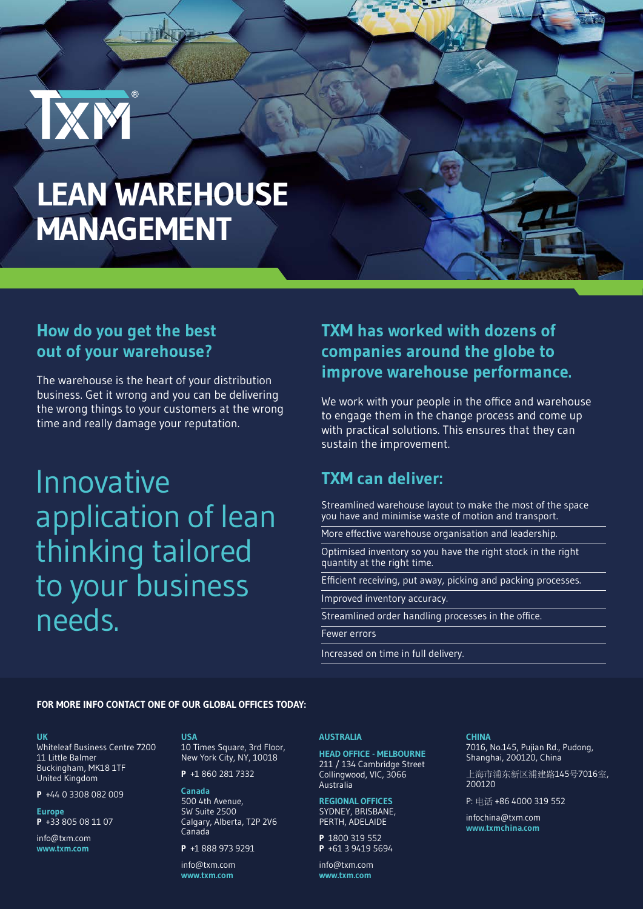# **LEAN WAREHOUSE MANAGEMENT**

**HIX** 

# **How do you get the best out of your warehouse?**

IXM

The warehouse is the heart of your distribution business. Get it wrong and you can be delivering the wrong things to your customers at the wrong time and really damage your reputation.

Innovative application of lean thinking tailored to your business needs.

## **TXM has worked with dozens of companies around the globe to improve warehouse performance.**

We work with your people in the office and warehouse to engage them in the change process and come up with practical solutions. This ensures that they can sustain the improvement.

### **TXM can deliver:**

Streamlined warehouse layout to make the most of the space you have and minimise waste of motion and transport.

More effective warehouse organisation and leadership.

Optimised inventory so you have the right stock in the right quantity at the right time.

Efficient receiving, put away, picking and packing processes.

Improved inventory accuracy.

Streamlined order handling processes in the office.

Fewer errors

Increased on time in full delivery.

#### **FOR MORE INFO CONTACT ONE OF OUR GLOBAL OFFICES TODAY:**

#### **UK**

Whiteleaf Business Centre 7200 11 Little Balmer Buckingham, MK18 1TF United Kingdom

**P** +44 0 3308 082 009

**Europe P** +33 805 08 11 07

info@txm.com **www.txm.com**

### **USA**

10 Times Square, 3rd Floor, New York City, NY, 10018

**P** +1 860 281 7332

**Canada** 500 4th Avenue, SW Suite 2500 Calgary, Alberta, T2P 2V6 Canada

**P** +1 888 973 9291

info@txm.com **www.txm.com**

### **AUSTRALIA**

**HEAD OFFICE - MELBOURNE** 211 / 134 Cambridge Street Collingwood, VIC, 3066 Australia

#### **REGIONAL OFFICES** SYDNEY, BRISBANE, PERTH, ADELAIDE

**P** 1800 319 552 **P** +61 3 9419 5694

info@txm.com **www.txm.com**

#### **CHINA** 7016, No.145, Pujian Rd., Pudong, Shanghai, 200120, China

上海市浦东新区浦建路145号7016室, 200120

P: 电话 +86 4000 319 552

infochina@txm.com **www.txmchina.com**